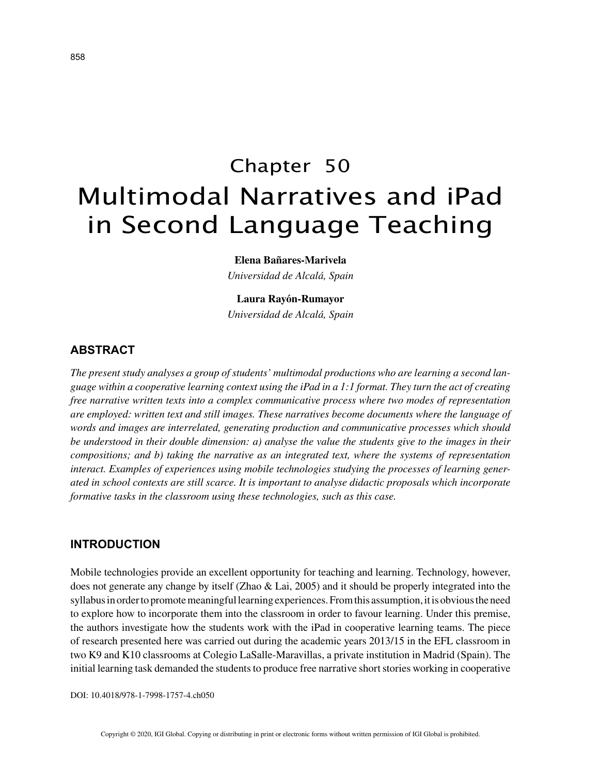# Chapter 50 Multimodal Narratives and iPad in Second Language Teaching

**Elena Bañares-Marivela**

*Universidad de Alcalá, Spain*

### **Laura Rayón-Rumayor**

*Universidad de Alcalá, Spain*

# **ABSTRACT**

*The present study analyses a group of students' multimodal productions who are learning a second language within a cooperative learning context using the iPad in a 1:1 format. They turn the act of creating free narrative written texts into a complex communicative process where two modes of representation are employed: written text and still images. These narratives become documents where the language of words and images are interrelated, generating production and communicative processes which should be understood in their double dimension: a) analyse the value the students give to the images in their compositions; and b) taking the narrative as an integrated text, where the systems of representation interact. Examples of experiences using mobile technologies studying the processes of learning generated in school contexts are still scarce. It is important to analyse didactic proposals which incorporate formative tasks in the classroom using these technologies, such as this case.*

## **INTRODUCTION**

Mobile technologies provide an excellent opportunity for teaching and learning. Technology, however, does not generate any change by itself (Zhao & Lai, 2005) and it should be properly integrated into the syllabus in order to promote meaningful learning experiences. From this assumption, it is obvious the need to explore how to incorporate them into the classroom in order to favour learning. Under this premise, the authors investigate how the students work with the iPad in cooperative learning teams. The piece of research presented here was carried out during the academic years 2013/15 in the EFL classroom in two K9 and K10 classrooms at Colegio LaSalle-Maravillas, a private institution in Madrid (Spain). The initial learning task demanded the students to produce free narrative short stories working in cooperative

DOI: 10.4018/978-1-7998-1757-4.ch050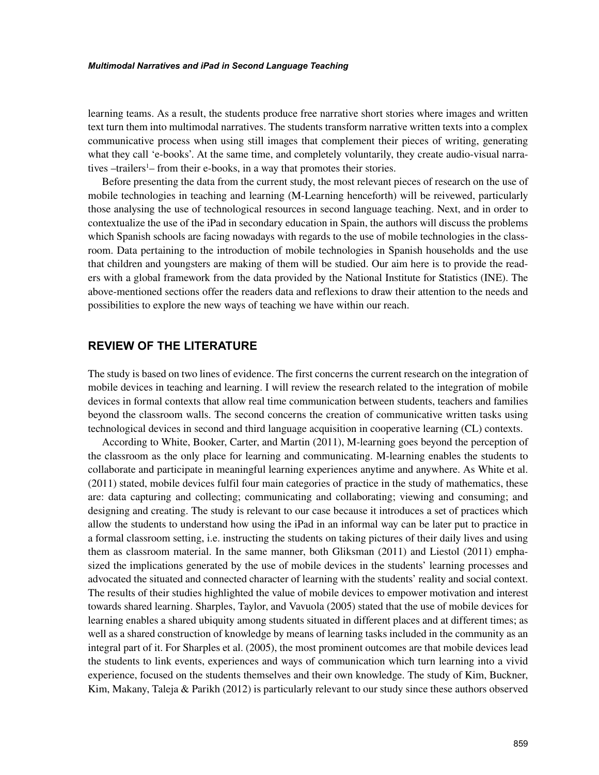#### *Multimodal Narratives and iPad in Second Language Teaching*

learning teams. As a result, the students produce free narrative short stories where images and written text turn them into multimodal narratives. The students transform narrative written texts into a complex communicative process when using still images that complement their pieces of writing, generating what they call 'e-books'. At the same time, and completely voluntarily, they create audio-visual narratives -trailers<sup>1</sup> from their e-books, in a way that promotes their stories.

Before presenting the data from the current study, the most relevant pieces of research on the use of mobile technologies in teaching and learning (M-Learning henceforth) will be reivewed, particularly those analysing the use of technological resources in second language teaching. Next, and in order to contextualize the use of the iPad in secondary education in Spain, the authors will discuss the problems which Spanish schools are facing nowadays with regards to the use of mobile technologies in the classroom. Data pertaining to the introduction of mobile technologies in Spanish households and the use that children and youngsters are making of them will be studied. Our aim here is to provide the readers with a global framework from the data provided by the National Institute for Statistics (INE). The above-mentioned sections offer the readers data and reflexions to draw their attention to the needs and possibilities to explore the new ways of teaching we have within our reach.

## **REVIEW OF THE LITERATURE**

The study is based on two lines of evidence. The first concerns the current research on the integration of mobile devices in teaching and learning. I will review the research related to the integration of mobile devices in formal contexts that allow real time communication between students, teachers and families beyond the classroom walls. The second concerns the creation of communicative written tasks using technological devices in second and third language acquisition in cooperative learning (CL) contexts.

According to White, Booker, Carter, and Martin (2011), M-learning goes beyond the perception of the classroom as the only place for learning and communicating. M-learning enables the students to collaborate and participate in meaningful learning experiences anytime and anywhere. As White et al. (2011) stated, mobile devices fulfil four main categories of practice in the study of mathematics, these are: data capturing and collecting; communicating and collaborating; viewing and consuming; and designing and creating. The study is relevant to our case because it introduces a set of practices which allow the students to understand how using the iPad in an informal way can be later put to practice in a formal classroom setting, i.e. instructing the students on taking pictures of their daily lives and using them as classroom material. In the same manner, both Gliksman (2011) and Liestol (2011) emphasized the implications generated by the use of mobile devices in the students' learning processes and advocated the situated and connected character of learning with the students' reality and social context. The results of their studies highlighted the value of mobile devices to empower motivation and interest towards shared learning. Sharples, Taylor, and Vavuola (2005) stated that the use of mobile devices for learning enables a shared ubiquity among students situated in different places and at different times; as well as a shared construction of knowledge by means of learning tasks included in the community as an integral part of it. For Sharples et al. (2005), the most prominent outcomes are that mobile devices lead the students to link events, experiences and ways of communication which turn learning into a vivid experience, focused on the students themselves and their own knowledge. The study of Kim, Buckner, Kim, Makany, Taleja & Parikh (2012) is particularly relevant to our study since these authors observed